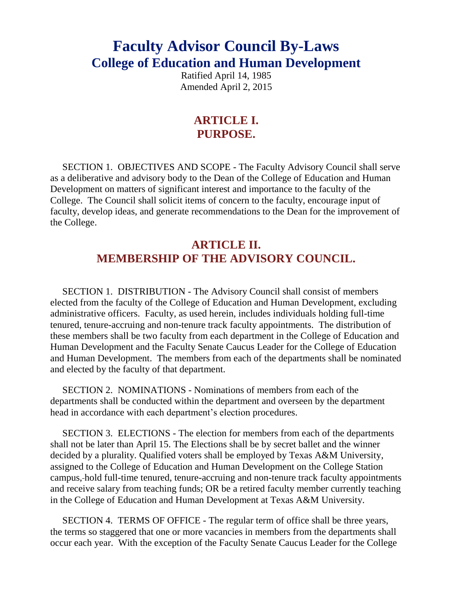# **Faculty Advisor Council By-Laws College of Education and Human Development**

Ratified April 14, 1985 Amended April 2, 2015

### **ARTICLE I. PURPOSE.**

 SECTION 1. OBJECTIVES AND SCOPE - The Faculty Advisory Council shall serve as a deliberative and advisory body to the Dean of the College of Education and Human Development on matters of significant interest and importance to the faculty of the College. The Council shall solicit items of concern to the faculty, encourage input of faculty, develop ideas, and generate recommendations to the Dean for the improvement of the College.

### **ARTICLE II. MEMBERSHIP OF THE ADVISORY COUNCIL.**

 SECTION 1. DISTRIBUTION - The Advisory Council shall consist of members elected from the faculty of the College of Education and Human Development, excluding administrative officers. Faculty, as used herein, includes individuals holding full-time tenured, tenure-accruing and non-tenure track faculty appointments. The distribution of these members shall be two faculty from each department in the College of Education and Human Development and the Faculty Senate Caucus Leader for the College of Education and Human Development. The members from each of the departments shall be nominated and elected by the faculty of that department.

 SECTION 2. NOMINATIONS - Nominations of members from each of the departments shall be conducted within the department and overseen by the department head in accordance with each department's election procedures.

 SECTION 3. ELECTIONS - The election for members from each of the departments shall not be later than April 15. The Elections shall be by secret ballet and the winner decided by a plurality. Qualified voters shall be employed by Texas A&M University, assigned to the College of Education and Human Development on the College Station campus, hold full-time tenured, tenure-accruing and non-tenure track faculty appointments and receive salary from teaching funds; OR be a retired faculty member currently teaching in the College of Education and Human Development at Texas A&M University.

 SECTION 4. TERMS OF OFFICE - The regular term of office shall be three years, the terms so staggered that one or more vacancies in members from the departments shall occur each year. With the exception of the Faculty Senate Caucus Leader for the College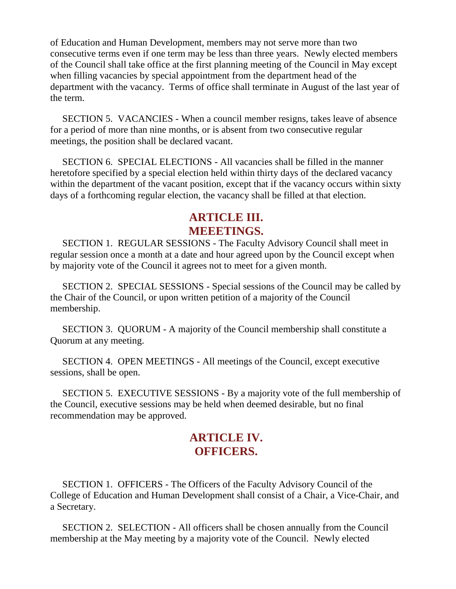of Education and Human Development, members may not serve more than two consecutive terms even if one term may be less than three years. Newly elected members of the Council shall take office at the first planning meeting of the Council in May except when filling vacancies by special appointment from the department head of the department with the vacancy. Terms of office shall terminate in August of the last year of the term.

 SECTION 5. VACANCIES - When a council member resigns, takes leave of absence for a period of more than nine months, or is absent from two consecutive regular meetings, the position shall be declared vacant.

 SECTION 6. SPECIAL ELECTIONS - All vacancies shall be filled in the manner heretofore specified by a special election held within thirty days of the declared vacancy within the department of the vacant position, except that if the vacancy occurs within sixty days of a forthcoming regular election, the vacancy shall be filled at that election.

#### **ARTICLE III. MEEETINGS.**

 SECTION 1. REGULAR SESSIONS - The Faculty Advisory Council shall meet in regular session once a month at a date and hour agreed upon by the Council except when by majority vote of the Council it agrees not to meet for a given month.

 SECTION 2. SPECIAL SESSIONS - Special sessions of the Council may be called by the Chair of the Council, or upon written petition of a majority of the Council membership.

 SECTION 3. QUORUM - A majority of the Council membership shall constitute a Quorum at any meeting.

 SECTION 4. OPEN MEETINGS - All meetings of the Council, except executive sessions, shall be open.

 SECTION 5. EXECUTIVE SESSIONS - By a majority vote of the full membership of the Council, executive sessions may be held when deemed desirable, but no final recommendation may be approved.

## **ARTICLE IV. OFFICERS.**

 SECTION 1. OFFICERS - The Officers of the Faculty Advisory Council of the College of Education and Human Development shall consist of a Chair, a Vice-Chair, and a Secretary.

 SECTION 2. SELECTION - All officers shall be chosen annually from the Council membership at the May meeting by a majority vote of the Council. Newly elected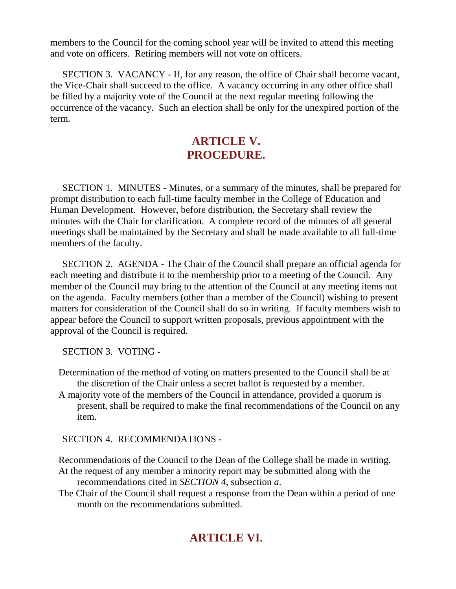members to the Council for the coming school year will be invited to attend this meeting and vote on officers. Retiring members will not vote on officers.

 SECTION 3. VACANCY - If, for any reason, the office of Chair shall become vacant, the Vice-Chair shall succeed to the office. A vacancy occurring in any other office shall be filled by a majority vote of the Council at the next regular meeting following the occurrence of the vacancy. Such an election shall be only for the unexpired portion of the term.

## **ARTICLE V. PROCEDURE.**

 SECTION 1. MINUTES - Minutes, or a summary of the minutes, shall be prepared for prompt distribution to each full-time faculty member in the College of Education and Human Development. However, before distribution, the Secretary shall review the minutes with the Chair for clarification. A complete record of the minutes of all general meetings shall be maintained by the Secretary and shall be made available to all full-time members of the faculty.

 SECTION 2. AGENDA - The Chair of the Council shall prepare an official agenda for each meeting and distribute it to the membership prior to a meeting of the Council. Any member of the Council may bring to the attention of the Council at any meeting items not on the agenda. Faculty members (other than a member of the Council) wishing to present matters for consideration of the Council shall do so in writing. If faculty members wish to appear before the Council to support written proposals, previous appointment with the approval of the Council is required.

SECTION 3. VOTING -

- Determination of the method of voting on matters presented to the Council shall be at the discretion of the Chair unless a secret ballot is requested by a member.
- A majority vote of the members of the Council in attendance, provided a quorum is present, shall be required to make the final recommendations of the Council on any item.

SECTION 4. RECOMMENDATIONS -

Recommendations of the Council to the Dean of the College shall be made in writing. At the request of any member a minority report may be submitted along with the recommendations cited in *SECTION 4*, subsection *a*.

The Chair of the Council shall request a response from the Dean within a period of one month on the recommendations submitted.

## **ARTICLE VI.**